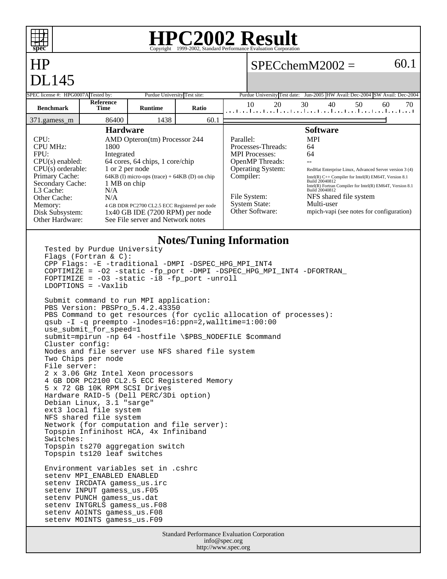

# **HPC2002 Result**

### HP DL145

## $SPECchemM2002 = 60.1$

| レレューン                                                                                                                                                                                                                                                                                                                                                                                                                                                                                                                                                                                                         |                                                                                                                                                                                                                                                                                                                                                                                     |                                                                                                                                                                                            |                                                                                                                                               |                                                                 |                                                                                                                                                                                                                                                                                                                                                                                                                                                                                                                                               |    |    |    |    |    |  |
|---------------------------------------------------------------------------------------------------------------------------------------------------------------------------------------------------------------------------------------------------------------------------------------------------------------------------------------------------------------------------------------------------------------------------------------------------------------------------------------------------------------------------------------------------------------------------------------------------------------|-------------------------------------------------------------------------------------------------------------------------------------------------------------------------------------------------------------------------------------------------------------------------------------------------------------------------------------------------------------------------------------|--------------------------------------------------------------------------------------------------------------------------------------------------------------------------------------------|-----------------------------------------------------------------------------------------------------------------------------------------------|-----------------------------------------------------------------|-----------------------------------------------------------------------------------------------------------------------------------------------------------------------------------------------------------------------------------------------------------------------------------------------------------------------------------------------------------------------------------------------------------------------------------------------------------------------------------------------------------------------------------------------|----|----|----|----|----|--|
| SPEC license #: HPG0007A Tested by:                                                                                                                                                                                                                                                                                                                                                                                                                                                                                                                                                                           |                                                                                                                                                                                                                                                                                                                                                                                     | Purdue University Test site:                                                                                                                                                               |                                                                                                                                               |                                                                 | Purdue University Test date: Jun-2005 HW Avail: Dec-2004 SW Avail: Dec-2004                                                                                                                                                                                                                                                                                                                                                                                                                                                                   |    |    |    |    |    |  |
| <b>Benchmark</b>                                                                                                                                                                                                                                                                                                                                                                                                                                                                                                                                                                                              | Reference<br>Time                                                                                                                                                                                                                                                                                                                                                                   | <b>Runtime</b>                                                                                                                                                                             | Ratio                                                                                                                                         | 10<br>المتابيط بتباعيا بتباعيا بتباعيا أتتباعث أعتابتنا أعتابية | 20                                                                                                                                                                                                                                                                                                                                                                                                                                                                                                                                            | 30 | 40 | 50 | 60 | 70 |  |
| 371.gamess m                                                                                                                                                                                                                                                                                                                                                                                                                                                                                                                                                                                                  | 86400                                                                                                                                                                                                                                                                                                                                                                               | 1438                                                                                                                                                                                       | 60.1                                                                                                                                          |                                                                 |                                                                                                                                                                                                                                                                                                                                                                                                                                                                                                                                               |    |    |    |    |    |  |
| CPU:<br><b>CPU MHz:</b><br>FPU:<br>$CPU(s)$ enabled:<br>Primary Cache:<br>L3 Cache:<br>Other Cache:<br>Memory:<br>Disk Subsystem:<br>Other Hardware:                                                                                                                                                                                                                                                                                                                                                                                                                                                          | <b>Hardware</b><br>AMD Opteron(tm) Processor 244<br>1800<br>Integrated<br>64 cores, 64 chips, 1 core/chip<br>$CPU(s)$ orderable:<br>1 or 2 per node<br>$64KB$ (I) micro-ops (trace) + $64KB$ (D) on chip<br>Secondary Cache:<br>1 MB on chip<br>N/A<br>N/A<br>4 GB DDR PC2700 CL2.5 ECC Registered per node<br>1x40 GB IDE (7200 RPM) per node<br>See File server and Network notes |                                                                                                                                                                                            |                                                                                                                                               |                                                                 | <b>Software</b><br><b>MPI</b><br>Parallel:<br>Processes-Threads:<br>64<br><b>MPI</b> Processes:<br>64<br>OpenMP Threads:<br>$-$<br><b>Operating System:</b><br>RedHat Enterprise Linux, Advanced Server version 3 (4)<br>Compiler:<br>Intel(R) $C++$ Compiler for Intel(R) EM64T, Version 8.1<br>Build 20040812<br>Intel(R) Fortran Compiler for Intel(R) EM64T, Version 8.1<br>Build 20040812<br>File System:<br>NFS shared file system<br><b>System State:</b><br>Multi-user<br>Other Software:<br>mpich-vapi (see notes for configuration) |    |    |    |    |    |  |
| <b>Notes/Tuning Information</b><br>Tested by Purdue University<br>Flags (Fortran $\& C$ ):<br>CPP Flags: -E -traditional -DMPI -DSPEC_HPG_MPI_INT4<br>COPTIMIZE = -02 -static -fp_port -DMPI -DSPEC_HPG_MPI_INT4 -DFORTRAN_<br>FOPTIMIZE = $-03$ -static $-i8$ -fp port -unroll<br>$LDOPTIONS = -Vaxlib$<br>Submit command to run MPI application:<br>PBS Version: PBSPro_5.4.2.43350<br>PBS Command to get resources (for cyclic allocation of processes):<br>qsub $-I$ -q preempto -lnodes=16:ppn=2, walltime=1:00:00<br>use_submit_for_speed=1<br>submit=mpirun -np 64 -hostfile \\$PBS_NODEFILE \$command |                                                                                                                                                                                                                                                                                                                                                                                     |                                                                                                                                                                                            |                                                                                                                                               |                                                                 |                                                                                                                                                                                                                                                                                                                                                                                                                                                                                                                                               |    |    |    |    |    |  |
| Cluster config:<br>Two Chips per node<br>File server:<br>Switches:                                                                                                                                                                                                                                                                                                                                                                                                                                                                                                                                            | Debian Linux, 3.1 "sarge"<br>ext3 local file system<br>NFS shared file system<br>Topspin ts120 leaf switches                                                                                                                                                                                                                                                                        | 2 x 3.06 GHz Intel Xeon processors<br>5 x 72 GB 10K RPM SCSI Drives<br>Hardware RAID-5 (Dell PERC/3Di option)<br>Topspin Infinihost HCA, 4x Infiniband<br>Topspin ts270 aggregation switch | Nodes and file server use NFS shared file system<br>4 GB DDR PC2100 CL2.5 ECC Registered Memory<br>Network (for computation and file server): |                                                                 |                                                                                                                                                                                                                                                                                                                                                                                                                                                                                                                                               |    |    |    |    |    |  |
|                                                                                                                                                                                                                                                                                                                                                                                                                                                                                                                                                                                                               | setenv MPI_ENABLED ENABLED<br>setenv IRCDATA gamess_us.irc<br>setenv INPUT gamess_us.F05<br>setenv PUNCH gamess_us.dat<br>setenv INTGRLS gamess_us.F08<br>setenv AOINTS gamess_us.F08<br>setenv MOINTS gamess_us.F09                                                                                                                                                                | Environment variables set in .cshrc                                                                                                                                                        | Standard Performance Evaluation Corporation                                                                                                   |                                                                 |                                                                                                                                                                                                                                                                                                                                                                                                                                                                                                                                               |    |    |    |    |    |  |

info@spec.org http://www.spec.org